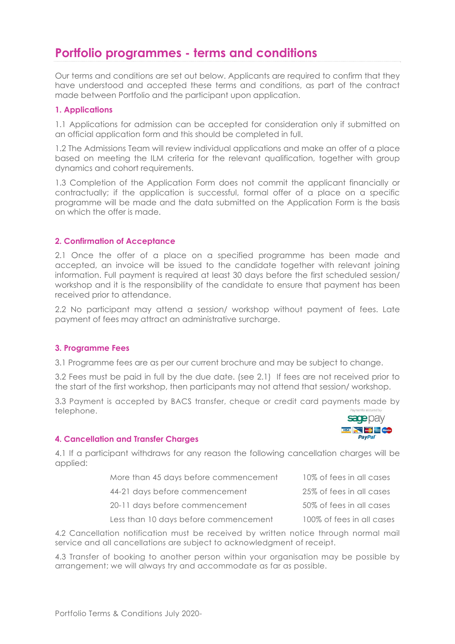# **Portfolio programmes - terms and conditions**

Our terms and conditions are set out below. Applicants are required to confirm that they have understood and accepted these terms and conditions, as part of the contract made between Portfolio and the participant upon application.

## **1. Applications**

1.1 Applications for admission can be accepted for consideration only if submitted on an official application form and this should be completed in full.

1.2 The Admissions Team will review individual applications and make an offer of a place based on meeting the ILM criteria for the relevant qualification, together with group dynamics and cohort requirements.

1.3 Completion of the Application Form does not commit the applicant financially or contractually; if the application is successful, formal offer of a place on a specific programme will be made and the data submitted on the Application Form is the basis on which the offer is made.

### **2. Confirmation of Acceptance**

2.1 Once the offer of a place on a specified programme has been made and accepted, an invoice will be issued to the candidate together with relevant joining information. Full payment is required at least 30 days before the first scheduled session/ workshop and it is the responsibility of the candidate to ensure that payment has been received prior to attendance.

2.2 No participant may attend a session/ workshop without payment of fees. Late payment of fees may attract an administrative surcharge.

### **3. Programme Fees**

3.1 Programme fees are as per our current brochure and may be subject to change.

3.2 Fees must be paid in full by the due date. (see 2.1) If fees are not received prior to the start of the first workshop, then participants may not attend that session/ workshop.

3.3 Payment is accepted by BACS transfer, cheque or credit card payments made by telephone. Payments secured by sage pay

### **4. Cancellation and Transfer Charges**

4.1 If a participant withdraws for any reason the following cancellation charges will be applied:

| More than 45 days before commencement | 10% of fees in all cases |
|---------------------------------------|--------------------------|
| 44-21 days before commencement        | 25% of fees in all cases |
| 20-11 days before commencement        | 50% of fees in all cases |

VISA NATIONAL MARINE **PavPal** 

Less than 10 days before commencement 100% of fees in all cases

4.2 Cancellation notification must be received by written notice through normal mail service and all cancellations are subject to acknowledgment of receipt.

4.3 Transfer of booking to another person within your organisation may be possible by arrangement; we will always try and accommodate as far as possible.